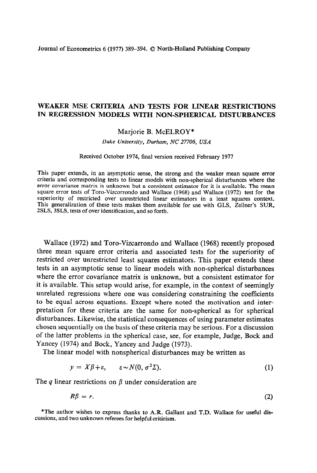## **WEAKER MSE CRITERIA AND TESTS FOR LINEAR RESTRICTIONS IN REGRESSION MODELS WITH NON-SPHERICAL DISTURBANCES**

## Marjorie B. McELROY\*

*Duke University, Durham, NC 27706, USA* 

## Received October 1974, final version received February 1977

This paper extends, in an asymptotic sense, the strong and the weaker mean square error criteria and corresponding tests to linear models with non-spherical disturbances where the error covariance matrix is unknown but a consistent estimator for it is available. The mean square error tests of Toro-Vizcorrondo and Wallace (1968) and Wallace (1972) test for the superiority of restricted over unrestricted linear estimators in a least squares context. This generalization of these tests makes them available for use with GLS, Zellner's SUR, ZSLS, 3SLS, tests of over identification, and so forth.

Wallace (1972) and Toro-Vizcarrondo and Wallace (1968) recently proposed three mean square error criteria and associated tests for the superiority of restricted over unrestricted least squares estimators. This paper extends these tests in an asymptotic sense to linear models with non-spherical disturbances where the error covariance matrix is unknown, but a consistent estimator for it is available. This setup would arise, for example, in the context of seemingly unrelated regressions where one was considering constraining the coefficients to be equal across equations. Except where noted the motivation and interpretation for these criteria are the same for non-spherical as for spherical disturbances. Likewise, the statistical consequences of using parameter estimates chosen sequentially on the basis of these criteria may be serious. For a discussion of the latter problems in the spherical case, see, for example, Judge, Bock and Yancey (1974) and Bock, Yancey and Judge (1973).

The linear model with nonspherical disturbances may be written as

$$
y = X\beta + \varepsilon, \qquad \varepsilon \sim N(0, \sigma^2 \Sigma). \tag{1}
$$

The  $q$  linear restrictions on  $\beta$  under consideration are

$$
R\beta = r. \tag{2}
$$

\*The author wishes to express thanks to A.R. Gallant and T.D. Wallace for useful discussions, and two unknown referees for helpful criticism.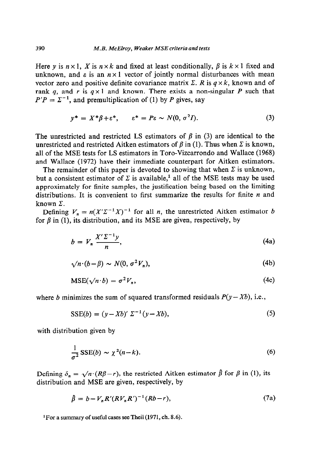Here y is  $n \times 1$ , X is  $n \times k$  and fixed at least conditionally,  $\beta$  is  $k \times 1$  fixed and unknown, and  $\varepsilon$  is an  $n \times 1$  vector of jointly normal disturbances with mean vector zero and positive definite covariance matrix  $\Sigma$ . *R* is  $q \times k$ , known and of rank *q*, and *r* is  $q \times 1$  and known. There exists a non-singular *P* such that  $P'P = \Sigma^{-1}$ , and premultiplication of (1) by *P* gives, say

$$
y^* = X^*\beta + \varepsilon^*, \qquad \varepsilon^* = P\varepsilon \sim N(0, \sigma^2 I). \tag{3}
$$

The unrestricted and restricted LS estimators of  $\beta$  in (3) are identical to the unrestricted and restricted Aitken estimators of  $\beta$  in (1). Thus when  $\Sigma$  is known, all of the MSE tests for LS estimators in Toro-Vizcarrondo and Wallace (1968) and Wallace (1972) have their immediate counterpart for Aitken estimators.

The remainder of this paper is devoted to showing that when  $\Sigma$  is unknown, but a consistent estimator of  $\Sigma$  is available,<sup>1</sup> all of the MSE tests may be used approximately for finite samples, the justification being based on the limiting distributions. It is convenient to first summarize the results for finite  $n$  and known  $\Sigma$ .

Defining  $V_n = n(X^2 \Sigma^{-1} X)^{-1}$  for all *n*, the unrestricted Aitken estimator *b* for  $\beta$  in (1), its distribution, and its MSE are given, respectively, by

$$
b = V_n \frac{X' \Sigma^{-1} y}{n}, \tag{4a}
$$

$$
\sqrt{n}(b-\beta) \sim N(0, \sigma^2 V_n), \tag{4b}
$$

$$
MSE(\sqrt{n \cdot b}) = \sigma^2 V_n, \tag{4c}
$$

where *b* minimizes the sum of squared transformed residuals  $P(y - Xb)$ , i.e.,

$$
SSE(b) = (y - Xb)' \Sigma^{-1} (y - Xb), \tag{5}
$$

with distribution given by

$$
\frac{1}{\sigma^2} \text{SSE}(b) \sim \chi^2(n-k). \tag{6}
$$

Defining  $\delta_n = \sqrt{n} (R\beta - r)$ , the restricted Aitken estimator  $\hat{\beta}$  for  $\beta$  in (1), its distribution and MSE are given, respectively, by

$$
\hat{\beta} = b - V_n R'(RV_n R')^{-1} (Rb - r), \tag{7a}
$$

<sup>1</sup> For a summary of useful cases see Theil (1971, ch. 8.6).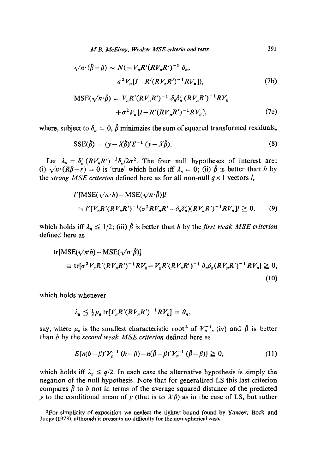$$
\sqrt{n} \cdot (\hat{\beta} - \beta) \sim N(-V_n R'(RV_n R')^{-1} \delta_n,
$$
  
\n
$$
\sigma^2 V_n [I - R'(RV_n R')^{-1} RV_n]),
$$
\n(7b)

$$
MSE(\sqrt{n} \cdot \hat{\beta}) = V_n R'(RV_n R')^{-1} \delta_n \delta_n' (RV_n R')^{-1} RV_n
$$
  
+  $\sigma^2 V_n [I - R'(RV_n R')^{-1} RV_n],$  (7c)

where, subject to  $\delta_n = 0$ ,  $\hat{\beta}$  minimzies the sum of squared transformed residuals,

$$
SSE(\hat{\beta}) = (y - X\hat{\beta})'\Sigma^{-1} (y - X\hat{\beta}).
$$
\n(8)

Let  $\lambda_n = \delta_n' (RV_n R')^{-1} \delta_n / 2\sigma^2$ . The four null hypotheses of interest are: (i)  $\sqrt{n} \cdot (R\beta - r) = 0$  is 'true' which holds iff  $\lambda_n = 0$ ; (ii)  $\beta$  is better than b by the *strong MSE criterion* defined here as for all non-null  $q \times 1$  vectors *l*,

$$
l'[MSE(\sqrt{n \cdot b}) - MSE(\sqrt{n \cdot \beta})]l
$$
  
\n
$$
\equiv l'[V_n R'(RV_n R')^{-1} (\sigma^2 RV_n R' - \delta_n \delta'_n) (RV_n R')^{-1} RV_n]l \geq 0,
$$
 (9)

which holds iff  $\lambda_n \leq 1/2$ ; (iii)  $\hat{\beta}$  is better than *b* by the *first weak MSE criterion* defined here as

tr[MSE(
$$
\sqrt{n \cdot b}
$$
) - MSE( $\sqrt{n \cdot \hat{\beta}}$ )]  
\n
$$
\equiv tr[\sigma^2 V_n R'(RV_n R')^{-1} R V_n - V_n R'(RV_n R')^{-1} \delta_n \delta_n (RV_n R')^{-1} R V_n] \ge 0,
$$
\n(10)

which holds whenever

$$
\lambda_n \leq \frac{1}{2} \mu_n \operatorname{tr}[V_n R'(R V_n R')^{-1} R V_n] = \theta_n,
$$

say, where  $\mu_n$  is the smallest characteristic root<sup>2</sup> of  $V_n^{-1}$ , (iv) and  $\hat{\beta}$  is better than *b* by the *second weak MSE criterion* defined here as

$$
E[n(b-\beta)'V_n^{-1}(b-\beta) - n(\hat{\beta}-\beta)'V_n^{-1}(\hat{\beta}-\beta)] \ge 0,
$$
 (11)

which holds iff  $\lambda_n \leq q/2$ . In each case the alternative hypothesis is simply the negation of the null hypothesis. Note that for generalized LS this last criterion compares  $\hat{\beta}$  to *b* not in terms of the average squared distance of the predicted y to the conditional mean of y (that is to  $X\beta$ ) as in the case of LS, but rather

<sup>2</sup>For simplicity of exposition we neglect the tighter bound found by Yancey, Bock and Judge (1973), although it presents no difficulty for the non-spherical case.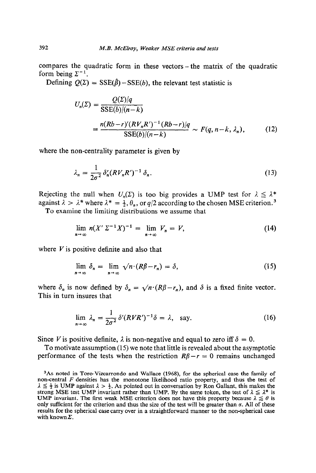compares the quadratic form in these vectors-the matrix of the quadratic form being  $\Sigma^{-1}$ .

Defining  $Q(\Sigma) = SSE(\hat{\beta}) - SSE(b)$ , the relevant test statistic is

$$
U_n(\Sigma) = \frac{Q(\Sigma)|q}{\text{SSE}(b)/(n-k)}
$$
  
= 
$$
\frac{n(Rb-r)'(RV_nR')^{-1}(Rb-r)/q}{\text{SSE}(b)/(n-k)} \sim F(q, n-k, \lambda_n),
$$
 (12)

where the non-centrality parameter is given by

$$
\lambda_n = \frac{1}{2\sigma^2} \delta_n' (RV_n R')^{-1} \delta_n. \tag{13}
$$

Rejecting the null when  $U_n(\Sigma)$  is too big provides a UMP test for  $\lambda \leq \lambda^*$ against  $\lambda > \lambda^*$  where  $\lambda^* = \frac{1}{2}, \theta_n$ , or  $q/2$  according to the chosen MSE criterion.<sup>3</sup>

To examine the limiting distributions we assume that

$$
\lim_{n\to\infty} n(X'\Sigma^{-1}X)^{-1} = \lim_{n\to\infty} V_n = V,
$$
\n(14)

where  $V$  is positive definite and also that

$$
\lim_{n \to \infty} \delta_n = \lim_{n \to \infty} \sqrt{n} \cdot (R\beta - r_n) = \delta,\tag{15}
$$

where  $\delta_n$  is now defined by  $\delta_n = \sqrt{n^2(R\beta - r_n)}$ , and  $\delta$  is a fixed finite vector. This in turn insures that

$$
\lim_{n \to \infty} \lambda_n = \frac{1}{2\sigma^2} \delta'(RVR')^{-1} \delta = \lambda, \text{ say.}
$$
 (16)

Since *V* is positive definite,  $\lambda$  is non-negative and equal to zero iff  $\delta = 0$ .

To motivate assumption (15) we note that little is revealed about the asymptotic performance of the tests when the restriction  $R\beta - r = 0$  remains unchanged

<sup>&</sup>lt;sup>3</sup>As noted in Toro-Vizcarrondo and Wallace (1968), for the spherical case the family of non-central *F* densities has the monotone likelihood ratio property, and thus the test of  $\lambda \leq \frac{1}{2}$  is UMP against  $\lambda > \frac{1}{2}$ . As pointed out in conversation by Ron Gallant, this makes the strong MSE test UMP invariant rather than UMP. By the same token, the test of  $\lambda \leq \lambda^*$  is UMP invariant. The first weak MSE criterion does not have this property because  $\lambda \leq \theta$  is only sufficient for the criterion and thus the size of the test will be greater than  $\alpha$ . All of these results for the spherical case carry over in a straightforward manner to the non-spherical case with known  $\Sigma$ .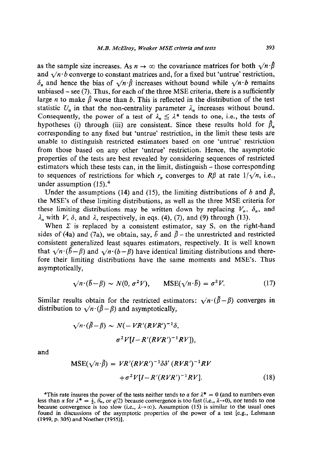as the sample size increases. As  $n \to \infty$  the covariance matrices for both  $\sqrt{n} \cdot \hat{\beta}$ and  $\sqrt{n \cdot b}$  converge to constant matrices and, for a fixed but 'untrue' restriction,  $\delta_n$  and hence the bias of  $\sqrt{n} \cdot \hat{\beta}$  increases without bound while  $\sqrt{n} \cdot b$  remains unbiased  $-$  see (7). Thus, for each of the three MSE criteria, there is a sufficiently large *n* to make  $\hat{\beta}$  worse than *b*. This is reflected in the distribution of the test statistic  $U_n$  in that the non-centrality parameter  $\lambda_n$  increases without bound. Consequently, the power of a test of  $\lambda_n \leq \lambda^*$  tends to one, i.e., the tests of hypotheses (i) through (iii) are consistent. Since these results hold for  $\hat{\beta}_n$ corresponding to any fixed but 'untrue' restriction, in the limit these tests are unable to distinguish restricted estimators based on one 'untrue' restriction from those based on any other 'untrue' restriction. Hence, the asymptotic properties of the tests are best revealed by considering sequences of restricted estimators which these tests can, in the limit, distinguish - those corresponding to sequences of restrictions for which  $r_n$  converges to  $R\beta$  at rate  $1/\sqrt{n}$ , i.e., under assumption  $(15)$ .<sup>4</sup>

Under the assumptions (14) and (15), the limiting distributions of *b* and  $\hat{\beta}$ , the MSE's of these limiting distributions, as well as the three MSE criteria for these limiting distributions may be written down by replacing  $V_n$ ,  $\delta_n$ , and  $\lambda_n$  with *V*,  $\delta$ , and  $\lambda$ , respectively, in eqs. (4), (7), and (9) through (13).

When  $\Sigma$  is replaced by a consistent estimator, say S, on the right-hand sides of (4a) and (7a), we obtain, say,  $\tilde{b}$  and  $\tilde{\beta}$  – the unrestricted and restricted consistent generalized least squares estimators, respectively. It is well known that  $\sqrt{n} \cdot (\bar{b}-\beta)$  and  $\sqrt{n} \cdot (b-\beta)$  have identical limiting distributions and therefore their limiting distributions have the same moments and MSE's. Thus asymptotically,

$$
\sqrt{n \cdot (\delta - \beta)} \sim N(0, \sigma^2 V), \qquad \text{MSE}(\sqrt{n \cdot \delta}) = \sigma^2 V. \tag{17}
$$

 $\mathbf{r}$ 

Similar results obtain for the restricted estimators:  $\sqrt{n} \cdot (\tilde{\beta} - \beta)$  converges in distribution to  $\sqrt{n} \cdot (\hat{\beta} - \beta)$  and asymptotically,

$$
\sqrt{n \cdot (\tilde{\beta} - \beta)} \sim N(-VR'(RVR')^{-1}\delta,
$$
  
\n
$$
\sigma^2 V[I - R'(RVR')^{-1}RV]),
$$

and

$$
MSE(\sqrt{n \cdot \tilde{\beta}}) = VR'(RVR')^{-1} \delta \delta'(RVR')^{-1}RV + \sigma^2 V[I - R'(RVR')^{-1}RV].
$$
 (18)

<sup>4</sup>This rate insures the power of the tests neither tends to  $\alpha$  for  $\lambda^* = 0$  (and to numbers even less than  $\alpha$  for  $\lambda^* = \frac{1}{2}$ ,  $\hat{\theta}_n$ , or  $q/2$ ) because convergence is too fast (i.e.,  $\lambda \rightarrow 0$ ), nor tends to one because convergence is too slow (i.e.,  $\lambda \rightarrow \infty$ ). Assumption (15) is similar to the usual ones found in discussions of the asymptotic properties of the power of a test [e.g., Lehmann (1959, p. 305) and Noether (1955)].